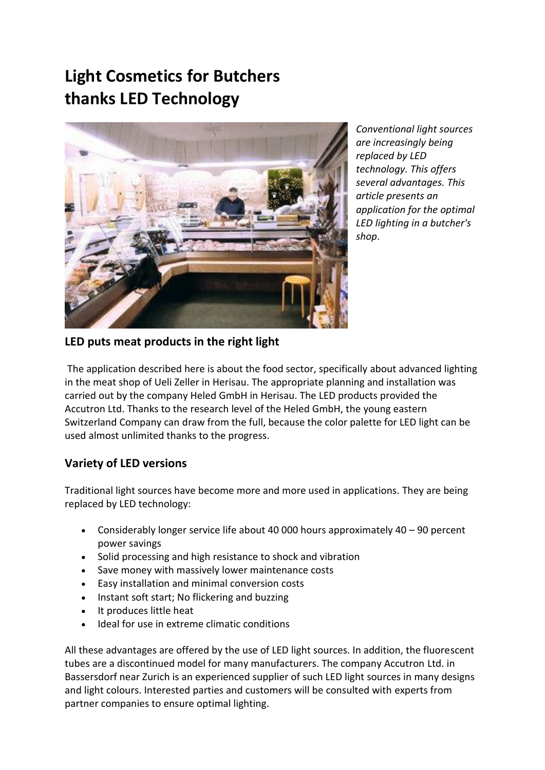# **Light Cosmetics for Butchers thanks LED Technology**



*Conventional light sources are increasingly being replaced by LED technology. This offers several advantages. This article presents an application for the optimal LED lighting in a butcher's shop*.

# **LED puts meat products in the right light**

The application described here is about the food sector, specifically about advanced lighting in the meat shop of Ueli Zeller in Herisau. The appropriate planning and installation was carried out by the company Heled GmbH in Herisau. The LED products provided the Accutron Ltd. Thanks to the research level of the Heled GmbH, the young eastern Switzerland Company can draw from the full, because the color palette for LED light can be used almost unlimited thanks to the progress.

# **Variety of LED versions**

Traditional light sources have become more and more used in applications. They are being replaced by LED technology:

- Considerably longer service life about 40 000 hours approximately 40 90 percent power savings
- Solid processing and high resistance to shock and vibration
- Save money with massively lower maintenance costs
- Easy installation and minimal conversion costs
- Instant soft start; No flickering and buzzing
- It produces little heat
- Ideal for use in extreme climatic conditions

All these advantages are offered by the use of LED light sources. In addition, the fluorescent tubes are a discontinued model for many manufacturers. The company Accutron Ltd. in Bassersdorf near Zurich is an experienced supplier of such LED light sources in many designs and light colours. Interested parties and customers will be consulted with experts from partner companies to ensure optimal lighting.